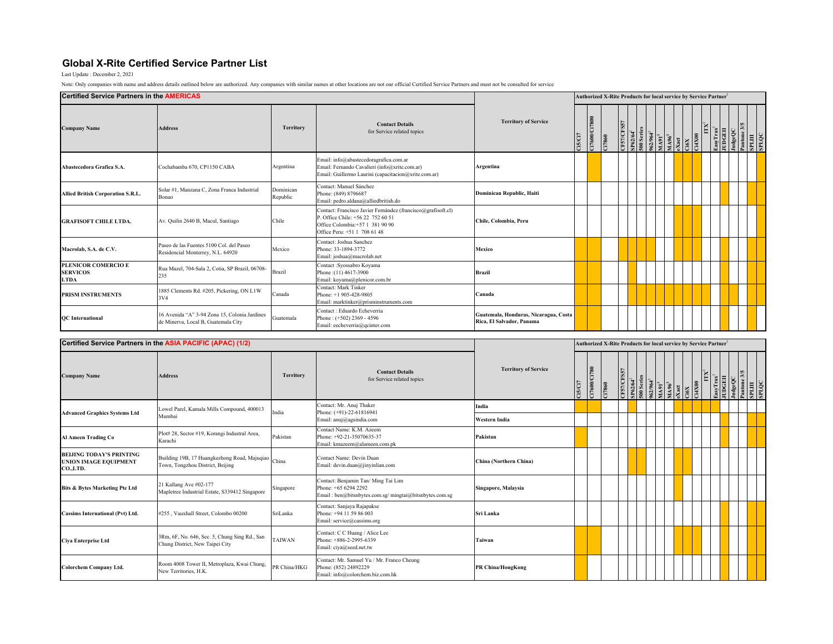## **Global X-Rite Certified Service Partner List**

Last Update : December 2, 2021

Note: Only companies with name and address details outlined below are authorized. Any companies with similar names at other locations are not our official Certified Service Partners and must not be consulted for service

Co**lorchem Company Ltd.** Room 4008 Tower II, Metroplaza, Kwai Chung, New Territories, H.K. Contact: Mr. Samuel Yu / Mr. Franco Cheung Phone: (852) 24892229<br>Rew Territories, H.K. Phone: Email: info@colorchem.biz.com.hk

| <b>Certified Service Partners in the AMERICAS</b>                           |                                                                                      |                       |                                                                                                                                                                       |                                                                    |                                                                              |                    |       |  |  |  |        |                                     |       |     | Authorized X-Rite Products for local service by Service Partner <sup>1</sup> |        |          |               |
|-----------------------------------------------------------------------------|--------------------------------------------------------------------------------------|-----------------------|-----------------------------------------------------------------------------------------------------------------------------------------------------------------------|--------------------------------------------------------------------|------------------------------------------------------------------------------|--------------------|-------|--|--|--|--------|-------------------------------------|-------|-----|------------------------------------------------------------------------------|--------|----------|---------------|
| <b>Company Name</b>                                                         | <b>Address</b>                                                                       | <b>Territory</b>      | <b>Contact Details</b><br>for Service related topics                                                                                                                  | <b>Territory of Service</b>                                        | <b>TENCIT</b>                                                                | 108715000213       | 17860 |  |  |  | 62/964 | $\frac{1\Delta 91^3}{1\Delta 96^3}$ | 00XH  |     | LasyTrax <sup>1</sup>                                                        | udgeQC | antone 3 | арыш<br>OOTAS |
| Abastecedora Grafica S.A.                                                   | Cochabamba 670, CP1150 CABA                                                          | Argentina             | Email: info@abastecedoragrafica.com.ar<br>Email: Fernando Cavalieri (info@xrite.com.ar)<br>Email: Guillermo Laurini (capacitacion@xrite.com.ar)                       | Argentina                                                          |                                                                              |                    |       |  |  |  |        |                                     |       |     |                                                                              |        |          |               |
| Allied British Corporation S.R.L.                                           | Solar #1, Manzana C, Zona Franca Industrial<br>Bonao                                 | Dominican<br>Republic | Contact: Manuel Sánchez<br>Phone: (849) 8796687<br>Email: pedro.aldana@alliedbritish.do                                                                               | Dominican Republic, Haiti                                          |                                                                              |                    |       |  |  |  |        |                                     |       |     |                                                                              |        |          |               |
| <b>GRAFISOFT CHILE LTDA.</b>                                                | Av. Quilin 2640 B, Macul, Santiago                                                   | Chile                 | Contact: Francisco Javier Fernández (francisco@grafisoft.cl)<br>P. Office Chile: +56 22 752 60 51<br>Office Colombia: +57 1 381 90 90<br>Office Peru: +51 1 708 61 48 | Chile, Colombia, Peru                                              |                                                                              |                    |       |  |  |  |        |                                     |       |     |                                                                              |        |          |               |
| Macrolab, S.A. de C.V.                                                      | Paseo de las Fuentes 5100 Col. del Paseo<br>Residencial Monterrey, N.L. 64920        | Mexico                | Contact: Joshua Sanchez<br>Phone: 33-1894-3772<br>Email: joshua@macrolab.net                                                                                          | <b>Mexico</b>                                                      |                                                                              |                    |       |  |  |  |        |                                     |       |     |                                                                              |        |          |               |
| PLENICOR COMERCIO E<br><b>SERVICOS</b><br><b>LTDA</b>                       | Rua Mazel, 704-Sala 2, Cotia, SP Brazil, 06708-<br>235                               | Brazil                | Contact: Syossabro Koyama<br>Phone: (11) 4617-3900<br>Email: koyama@plenicor.com.br                                                                                   | <b>Brazil</b>                                                      |                                                                              |                    |       |  |  |  |        |                                     |       |     |                                                                              |        |          |               |
| PRISM INSTRUMENTS                                                           | 1885 Clements Rd. #205, Pickering, ON L1W<br>3V4                                     | Canada                | Contact: Mark Tinker<br>Phone: +1 905-428-9805<br>Email: marktinker@prisminstruments.com                                                                              | Canada                                                             |                                                                              |                    |       |  |  |  |        |                                     |       |     |                                                                              |        |          |               |
| <b>QC</b> International                                                     | 16 Avenida "A" 3-94 Zona 15, Colonia Jardines<br>de Minerva, Local B, Guatemala City | Guatemala             | Contact: Eduardo Echeverria<br>Phone: (+502) 2369 - 4596<br>Email: eecheverria@qcinter.com                                                                            | Guatemala, Honduras, Nicaragua, Costa<br>Rica, El Salvador, Panama |                                                                              |                    |       |  |  |  |        |                                     |       |     |                                                                              |        |          |               |
|                                                                             | Certified Service Partners in the ASIA PACIFIC (APAC) (1/2)                          |                       |                                                                                                                                                                       |                                                                    | Authorized X-Rite Products for local service by Service Partner <sup>1</sup> |                    |       |  |  |  |        |                                     |       |     |                                                                              |        |          |               |
|                                                                             |                                                                                      |                       |                                                                                                                                                                       |                                                                    |                                                                              |                    |       |  |  |  |        |                                     |       |     |                                                                              |        |          |               |
| <b>Company Name</b>                                                         | <b>Address</b>                                                                       | <b>Territory</b>      | <b>Contact Details</b><br>for Service related topics                                                                                                                  | <b>Territory of Service</b>                                        | <b>TRO/SI</b>                                                                | <b>EXPLOSITION</b> | 17860 |  |  |  |        |                                     | 90XPE | IΙX | asyTrax <sup>3</sup><br>UDGEII                                               | udgeQC |          | арын          |
|                                                                             | Lowel Parel, Kamala Mills Compound, 400013                                           |                       | Contact: Mr. Anuj Thaker                                                                                                                                              | India                                                              |                                                                              |                    |       |  |  |  |        |                                     |       |     |                                                                              |        |          |               |
| <b>Advanced Graphics Systems Ltd</b>                                        | Mumbai                                                                               | India                 | Phone: (+91)-22-61816941<br>Email: anuj@agsindia.com                                                                                                                  | <b>Western India</b>                                               |                                                                              |                    |       |  |  |  |        |                                     |       |     |                                                                              |        |          |               |
| Al Ameen Trading Co                                                         | Plot# 28, Sector #19, Korangi Industral Area,<br>Karachi                             | Pakistan              | Contact Name: K.M. Azeem<br>Phone: +92-21-35070635-37<br>Email: kmazeem@alameen.com.pk                                                                                | Pakistan                                                           |                                                                              |                    |       |  |  |  |        |                                     |       |     |                                                                              |        |          |               |
| <b>BELJING TODAY'S PRINTING</b><br><b>UNION IMAGE EQUIPMENT</b><br>CO.,LTD. | Building 19B, 17 Huangkezhong Road, Majuqiao<br>Town, Tongzhou District, Beijing     | China                 | Contact Name: Devin Duan<br>Email: devin.duan@jinyinlian.com                                                                                                          | China (Northern China)                                             |                                                                              |                    |       |  |  |  |        |                                     |       |     |                                                                              |        |          |               |
| <b>Bits &amp; Bytes Marketing Pte Ltd</b>                                   | 21 Kallang Ave #02-177<br>Mapletree Industrial Estate, S339412 Singapore             | Singapore             | Contact: Benjamin Tan/ Ming Tai Lim<br>Phone: +65 6294 2292<br>Email: ben@bitsnbytes.com.sg/ mingtai@bitsnbytes.com.sg                                                | Singapore, Malaysia                                                |                                                                              |                    |       |  |  |  |        |                                     |       |     |                                                                              |        |          |               |
| <b>Cassims International (Pvt) Ltd.</b>                                     | #255, Vauxhall Street, Colombo 00200                                                 | SriLanka              | Contact: Sanjaya Rajapakse<br>Phone: +94 11 59 86 003<br>Email: service@cassims.org                                                                                   | Sri Lanka                                                          |                                                                              |                    |       |  |  |  |        |                                     |       |     |                                                                              |        |          |               |
| Ciya Enterprise Ltd                                                         | 3Rm, 6F, No. 646, Sec. 5, Chung Sing Rd., San<br>Chung District, New Taipei City     | <b>TAIWAN</b>         | Contact: C C Huang / Alice Lee<br>Phone: +886-2-2995-6339<br>Email: ciya@seed.net.tw                                                                                  | Taiwan                                                             |                                                                              |                    |       |  |  |  |        |                                     |       |     |                                                                              |        |          |               |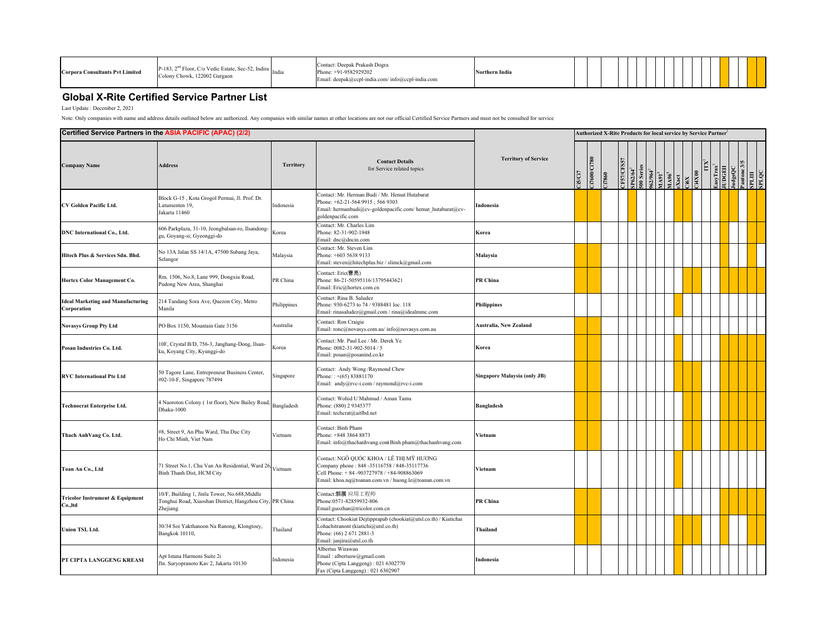| <b>Corpora Consultants Pvt Limited</b> | $P-183$ , $2nd$ Floor, C/o Vedic Estate, Sec-52, Indira<br>Colony Chowk, 122002 Gurgaon |  | Contact: Deepak Prakash Dogra<br>Phone: +91-9582929202<br>Email: deepak@ccpl-india.com/ info@ccpl-india.com | vrthern India |  |  |  |  |  |  |  |  |  |  |  |  |  |
|----------------------------------------|-----------------------------------------------------------------------------------------|--|-------------------------------------------------------------------------------------------------------------|---------------|--|--|--|--|--|--|--|--|--|--|--|--|--|
|----------------------------------------|-----------------------------------------------------------------------------------------|--|-------------------------------------------------------------------------------------------------------------|---------------|--|--|--|--|--|--|--|--|--|--|--|--|--|

## **Global X-Rite Certified Service Partner List**

Last Update : December 2, 2021

Note: Only companies with name and address details outlined below are authorized. Any companies with similar names at other locations are not our official Certified Service Partners and must not be consulted for service

| Certified Service Partners in the ASIA PACIFIC (APAC) (2/2) |                                                                                                                       | Authorized X-Rite Products for local service by Service Partner' |                                                                                                                                                                                               |                                     |                |             |       |                 |                           |  |                                                                                 |  |  |               |     |                                    |         |  |                           |  |
|-------------------------------------------------------------|-----------------------------------------------------------------------------------------------------------------------|------------------------------------------------------------------|-----------------------------------------------------------------------------------------------------------------------------------------------------------------------------------------------|-------------------------------------|----------------|-------------|-------|-----------------|---------------------------|--|---------------------------------------------------------------------------------|--|--|---------------|-----|------------------------------------|---------|--|---------------------------|--|
| <b>Company Name</b>                                         | <b>Address</b>                                                                                                        | <b>Territory</b>                                                 | <b>Contact Details</b><br>for Service related topics                                                                                                                                          | <b>Territory of Service</b>         | <b>LISICI7</b> | I7600/CI780 | 17860 | <b>ESTICESS</b> | $SP62/64^2$<br>500 Series |  | 962/964 <sup>2</sup><br>MA91 <sup>3</sup><br>MA96 <sup>3</sup><br>eXact<br>Ci6X |  |  | <b>Ci4X00</b> | ITX | $\frac{\rm EayTrax^3}{\rm JUDGEI}$ | JudgeQC |  | SPLINE<br>SPLINE<br>SPLQC |  |
| CV Golden Pacific Ltd.                                      | Block G-15, Kota Grogol Permai, Jl. Prof. Dr.<br>Latumenten 19,<br>Jakarta 11460                                      | Indonesia                                                        | Contact: Mr. Herman Budi / Mr. Hemat Hutabarat<br>Phone: +62-21-564.9915: 566 9303<br>Email: hermanbudi@cv-goldenpacific.com/ hemat hutabarat@cv-<br>goldenpacific.com                        | Indonesia                           |                |             |       |                 |                           |  |                                                                                 |  |  |               |     |                                    |         |  |                           |  |
| <b>DNC</b> International Co., Ltd.                          | 606 Parkplaza, 31-10, Jeongbalsan-ro, Ilsandong-<br>gu, Goyang-si; Gyeonggi-do                                        | Korea                                                            | Contact: Mr. Charles Lim<br>Phone: 82-31-902-1948<br>Email: dnc@dncin.com                                                                                                                     | Korea                               |                |             |       |                 |                           |  |                                                                                 |  |  |               |     |                                    |         |  |                           |  |
| Hitech Plus & Services Sdn. Bhd.                            | No 13A Jalan SS 14/1A, 47500 Subang Jaya,<br>Selangor                                                                 | Malaysia                                                         | Contact: Mr. Steven Lim<br>Phone: +603 5638 9133<br>Email: steven@hitechplus.biz / slimck@gmail.com                                                                                           | Malaysia                            |                |             |       |                 |                           |  |                                                                                 |  |  |               |     |                                    |         |  |                           |  |
| Hortex Color Management Co.                                 | Rm. 1506, No.8, Lane 999, Dongxiu Road,<br>Pudong New Area, Shanghai                                                  | PR China                                                         | Contact: Eric(曹亮)<br>Phone: 86-21-50595116/13795443621<br>Email: Eric@hortex.com.cn                                                                                                           | PR China                            |                |             |       |                 |                           |  |                                                                                 |  |  |               |     |                                    |         |  |                           |  |
| <b>Ideal Marketing and Manufacturing</b><br>Corporation     | 214 Tandang Sora Ave, Quezon City, Metro<br>Manila                                                                    | Philippines                                                      | Contact: Rina B. Saludez<br>Phone: 930-6273 to 74 / 9388481 loc. 118<br>Email: rinasaludez@gmail.com / rina@idealmmc.com                                                                      | <b>Philippines</b>                  |                |             |       |                 |                           |  |                                                                                 |  |  |               |     |                                    |         |  |                           |  |
| <b>Novasys Group Pty Ltd</b>                                | PO Box 1150, Mountain Gate 3156                                                                                       | Australia                                                        | Contact: Ron Craigie<br>Email: ronc@novasys.com.au/ info@novasys.com.au                                                                                                                       | <b>Australia, New Zealand</b>       |                |             |       |                 |                           |  |                                                                                 |  |  |               |     |                                    |         |  |                           |  |
| Posan Industries Co. Ltd.                                   | 10F, Crystal B/D, 756-3, Janghang-Dong, Ilsan-<br>ku, Koyang City, Kyunggi-do                                         | Korea                                                            | Contact: Mr. Paul Lee / Mr. Derek Ye<br>Phone: 0082-31-902-5014 / 5<br>Email: posan@posanind.co.kr                                                                                            | Korea                               |                |             |       |                 |                           |  |                                                                                 |  |  |               |     |                                    |         |  |                           |  |
| <b>RVC</b> International Pte Ltd                            | 50 Tagore Lane, Entrepreneur Business Center,<br>#02-10-F, Singapore 787494                                           | Singapore                                                        | Contact: Andy Wong /Raymond Chew<br>Phone: $: +(65) 83881170$<br>Email: andy@rvc-i.com / raymond@rvc-i.com                                                                                    | <b>Singapore Malaysia (only JB)</b> |                |             |       |                 |                           |  |                                                                                 |  |  |               |     |                                    |         |  |                           |  |
| <b>Technocrat Enterprise Ltd.</b>                           | 4 Naoroton Colony (1st floor), New Bailey Road,<br>Dhaka-1000                                                         | Bangladesh                                                       | Contact: Wohid U Mahmud / Aman Tamu<br>Phone: (880) 2 9345377<br>Email: techcrat@aitlbd.net                                                                                                   | <b>Bangladesh</b>                   |                |             |       |                 |                           |  |                                                                                 |  |  |               |     |                                    |         |  |                           |  |
| Thach AnhVang Co. Ltd.                                      | #8, Street 9, An Phu Ward, Thu Duc City<br>Ho Chi Minh, Viet Nam                                                      | Vietnam                                                          | Contact: Binh Pham<br>Phone: +848 3864 8873<br>Email: info@thachanhvang.com Binh.pham@thachanhvang.com                                                                                        | Vietnam                             |                |             |       |                 |                           |  |                                                                                 |  |  |               |     |                                    |         |  |                           |  |
| Toan An Co., Ltd                                            | 71 Street No.1, Chu Van An Residential, Ward 26 Vietnam<br>Binh Thanh Dist, HCM City                                  |                                                                  | Contact: NGÔ QUỐC KHOA / LÊ THI MỸ HƯƠNG<br>Company phone: 848-35116758 / 848-35117736<br>Cell Phone: +84 -903727978 / +84-908863069<br>Email: khoa.nq@toanan.com.vn / huong.le@toanan.com.vn | Vietnam                             |                |             |       |                 |                           |  |                                                                                 |  |  |               |     |                                    |         |  |                           |  |
| <b>Tricolor Instrument &amp; Equipment</b><br>Co.,ltd       | 10/F, Building 1, Jinlu Tower, No.688, Middle<br>Tonghui Road, Xiaoshan District, Hangzhou City, PR China<br>Zhejiang |                                                                  | Contact:郭展 应用工程师<br>Phone:0571-82859932-806<br>Email:guozhan@tricolor.com.cn                                                                                                                  | PR China                            |                |             |       |                 |                           |  |                                                                                 |  |  |               |     |                                    |         |  |                           |  |
| <b>Union TSL Ltd.</b>                                       | 30/34 Soi Yakthanoon Na Ranong, Klongtoey,<br>Bangkok 10110,                                                          | Thailand                                                         | Contact: Chookiat Dejtipprapab (chookiat@utsl.co.th) / Kiatichai<br>Lohachitranont (kiatichi@utsl.co.th)<br>Phone: (66) 2 671 2881-3<br>Email: janjira@utsl.co.th                             | <b>Thailand</b>                     |                |             |       |                 |                           |  |                                                                                 |  |  |               |     |                                    |         |  |                           |  |
| PT CIPTA LANGGENG KREASI                                    | Apt Istana Harmoni Suite 2i<br>Jln. Suryopranoto Kav 2, Jakarta 10130                                                 | Indonesia                                                        | Albertus Wirawan<br>Email: albertusw@gmail.com<br>Phone (Cipta Langgeng): 021 6302770<br>Fax (Cipta Langgeng): 021 6302907                                                                    | Indonesia                           |                |             |       |                 |                           |  |                                                                                 |  |  |               |     |                                    |         |  |                           |  |